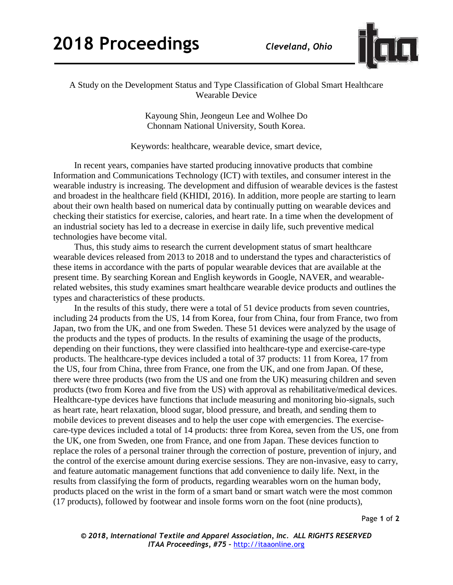

## A Study on the Development Status and Type Classification of Global Smart Healthcare Wearable Device

Kayoung Shin, Jeongeun Lee and Wolhee Do Chonnam National University, South Korea.

Keywords: healthcare, wearable device, smart device,

In recent years, companies have started producing innovative products that combine Information and Communications Technology (ICT) with textiles, and consumer interest in the wearable industry is increasing. The development and diffusion of wearable devices is the fastest and broadest in the healthcare field (KHIDI, 2016). In addition, more people are starting to learn about their own health based on numerical data by continually putting on wearable devices and checking their statistics for exercise, calories, and heart rate. In a time when the development of an industrial society has led to a decrease in exercise in daily life, such preventive medical technologies have become vital.

Thus, this study aims to research the current development status of smart healthcare wearable devices released from 2013 to 2018 and to understand the types and characteristics of these items in accordance with the parts of popular wearable devices that are available at the present time. By searching Korean and English keywords in Google, NAVER, and wearablerelated websites, this study examines smart healthcare wearable device products and outlines the types and characteristics of these products.

In the results of this study, there were a total of 51 device products from seven countries, including 24 products from the US, 14 from Korea, four from China, four from France, two from Japan, two from the UK, and one from Sweden. These 51 devices were analyzed by the usage of the products and the types of products. In the results of examining the usage of the products, depending on their functions, they were classified into healthcare-type and exercise-care-type products. The healthcare-type devices included a total of 37 products: 11 from Korea, 17 from the US, four from China, three from France, one from the UK, and one from Japan. Of these, there were three products (two from the US and one from the UK) measuring children and seven products (two from Korea and five from the US) with approval as rehabilitative/medical devices. Healthcare-type devices have functions that include measuring and monitoring bio-signals, such as heart rate, heart relaxation, blood sugar, blood pressure, and breath, and sending them to mobile devices to prevent diseases and to help the user cope with emergencies. The exercisecare-type devices included a total of 14 products: three from Korea, seven from the US, one from the UK, one from Sweden, one from France, and one from Japan. These devices function to replace the roles of a personal trainer through the correction of posture, prevention of injury, and the control of the exercise amount during exercise sessions. They are non-invasive, easy to carry, and feature automatic management functions that add convenience to daily life. Next, in the results from classifying the form of products, regarding wearables worn on the human body, products placed on the wrist in the form of a smart band or smart watch were the most common (17 products), followed by footwear and insole forms worn on the foot (nine products),